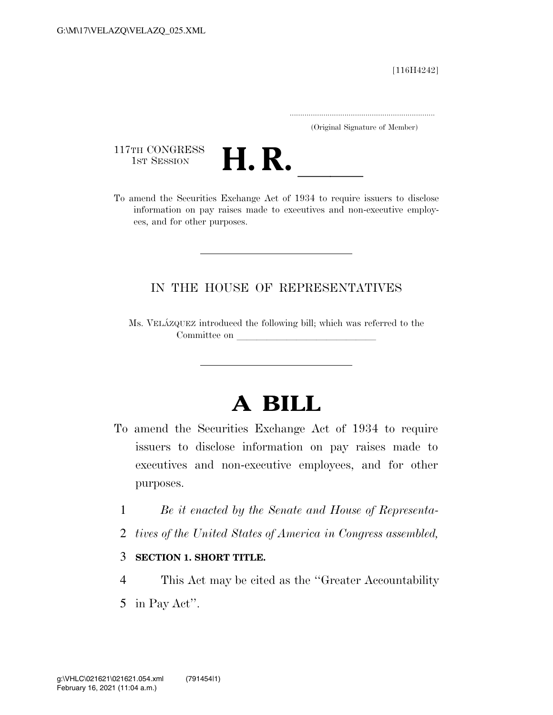[116H4242]

.....................................................................

(Original Signature of Member)

117TH CONGRESS<br>1st Session



1ST SESSION **H. R.** ll To amend the Securities Exchange Act of 1934 to require issuers to disclose information on pay raises made to executives and non-executive employees, and for other purposes.

## IN THE HOUSE OF REPRESENTATIVES

Ms. VELA´ZQUEZ introduced the following bill; which was referred to the Committee on

## **A BILL**

- To amend the Securities Exchange Act of 1934 to require issuers to disclose information on pay raises made to executives and non-executive employees, and for other purposes.
	- 1 *Be it enacted by the Senate and House of Representa-*
	- 2 *tives of the United States of America in Congress assembled,*
	- 3 **SECTION 1. SHORT TITLE.**
- 4 This Act may be cited as the ''Greater Accountability
- 5 in Pay Act''.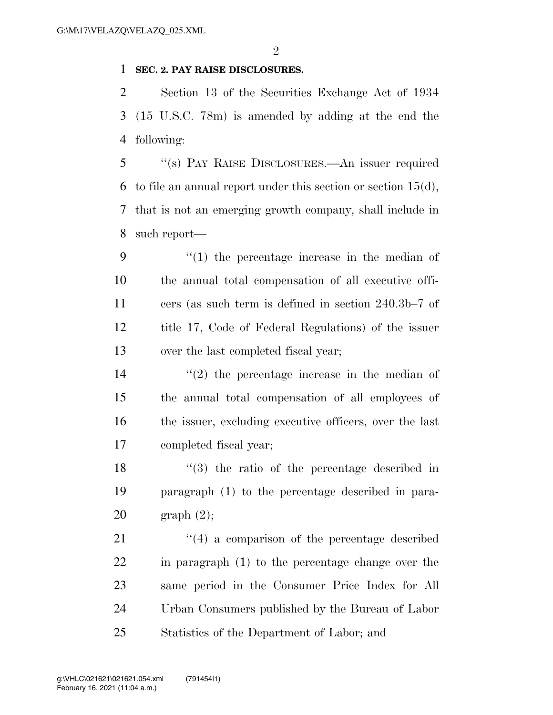## **SEC. 2. PAY RAISE DISCLOSURES.**

 Section 13 of the Securities Exchange Act of 1934 (15 U.S.C. 78m) is amended by adding at the end the following:

 ''(s) PAY RAISE DISCLOSURES.—An issuer required 6 to file an annual report under this section or section  $15(d)$ , that is not an emerging growth company, shall include in such report—

 $\frac{1}{2}$  (1) the percentage increase in the median of the annual total compensation of all executive offi- cers (as such term is defined in section 240.3b–7 of title 17, Code of Federal Regulations) of the issuer over the last completed fiscal year;

 $(2)$  the percentage increase in the median of the annual total compensation of all employees of the issuer, excluding executive officers, over the last completed fiscal year;

 ''(3) the ratio of the percentage described in paragraph (1) to the percentage described in para-graph (2);

21 ''(4) a comparison of the percentage described in paragraph (1) to the percentage change over the same period in the Consumer Price Index for All Urban Consumers published by the Bureau of Labor Statistics of the Department of Labor; and